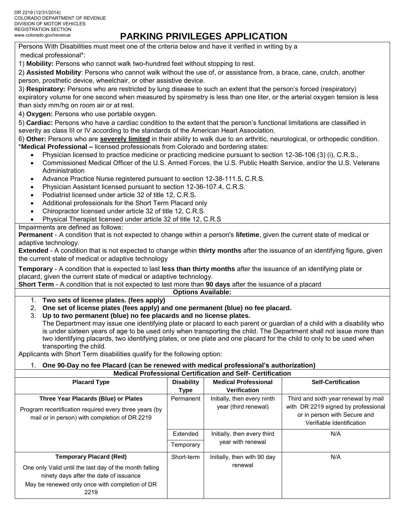# **PARKING PRIVILEGES APPLICATION**

Persons With Disabilities must meet one of the criteria below and have it verified in writing by a medical professional\*:

1) **Mobility:** Persons who cannot walk two-hundred feet without stopping to rest.

2) **Assisted Mobility**: Persons who cannot walk without the use of, or assistance from, a brace, cane, crutch, another person, prosthetic device, wheelchair, or other assistive device.

3) **Respiratory:** Persons who are restricted by lung disease to such an extent that the person's forced (respiratory) expiratory volume for one second when measured by spirometry is less than one liter, or the arterial oxygen tension is less than sixty mm/hg on room air or at rest.

4) **Oxygen:** Persons who use portable oxygen.

5) **Cardiac:** Persons who have a cardiac condition to the extent that the person's functional limitations are classified in severity as class III or IV according to the standards of the American Heart Association.

6) **Other:** Persons who are **severely limited** in their ability to walk due to an arthritic, neurological, or orthopedic condition. \***Medical Professional –** licensed professionals from Colorado and bordering states:

- Physician licensed to practice medicine or practicing medicine pursuant to section 12-36-106 (3) (i), C.R.S.,
- Commissioned Medical Officer of the U.S. Armed Forces, the U.S. Public Health Service, and/or the U.S. Veterans Administration
- Advance Practice Nurse registered pursuant to section 12-38-111.5, C.R.S.
- Physician Assistant licensed pursuant to section 12-36-107.4, C.R.S.
- Podiatrist licensed under article 32 of title 12, C.R.S.
- Additional professionals for the Short Term Placard only
- Chiropractor licensed under article 32 of title 12, C.R.S.
- Physical Therapist licensed under article 32 of title 12, C.R.S

Impairments are defined as follows:

**Permanent** - A condition that is not expected to change within a person's **lifetime**, given the current state of medical or adaptive technology.

**Extended** - A condition that is not expected to change within **thirty months** after the issuance of an identifying figure, given the current state of medical or adaptive technology

**Temporary** - A condition that is expected to last **less than thirty months** after the issuance of an identifying plate or placard, given the current state of medical or adaptive technology.

**Short Term** - A condition that is not expected to last more than **90 days** after the issuance of a placard

### **Options Available:**

### 1. **Two sets of license plates. (fees apply)**

- 2. **One set of license plates (fees apply) and one permanent (blue) no fee placard.**
- 3. **Up to two permanent (blue) no fee placards and no license plates.**

The Department may issue one identifying plate or placard to each parent or guardian of a child with a disability who is under sixteen years of age to be used only when transporting the child. The Department shall not issue more than two identifying placards, two identifying plates, or one plate and one placard for the child to only to be used when transporting the child.

Applicants with Short Term disabilities qualify for the following option:

### 1. **One 90-Day no fee Placard (can be renewed with medical professional's authorization)**

**Medical Professional Certification and Self- Certification**

| <b>Placard Type</b>                                                                                                                                        | <b>Disability</b> | <b>Medical Professional</b>                         | <b>Self-Certification</b>                                                                                                                |  |  |  |  |  |
|------------------------------------------------------------------------------------------------------------------------------------------------------------|-------------------|-----------------------------------------------------|------------------------------------------------------------------------------------------------------------------------------------------|--|--|--|--|--|
|                                                                                                                                                            | Type              | <b>Verification</b>                                 |                                                                                                                                          |  |  |  |  |  |
| Three Year Placards (Blue) or Plates<br>Program recertification required every three years (by<br>mail or in person) with completion of DR 2219            | Permanent         | Initially, then every ninth<br>year (third renewal) | Third and sixth year renewal by mail<br>with DR 2219 signed by professional<br>or in person with Secure and<br>Verifiable Identification |  |  |  |  |  |
|                                                                                                                                                            | Extended          | Initially, then every third                         | N/A                                                                                                                                      |  |  |  |  |  |
|                                                                                                                                                            | Temporary         | year with renewal                                   |                                                                                                                                          |  |  |  |  |  |
| <b>Temporary Placard (Red)</b>                                                                                                                             | Short-term        | Initially, then with 90 day                         | N/A                                                                                                                                      |  |  |  |  |  |
| One only Valid until the last day of the month falling<br>ninety days after the date of issuance<br>May be renewed only once with completion of DR<br>2219 |                   | renewal                                             |                                                                                                                                          |  |  |  |  |  |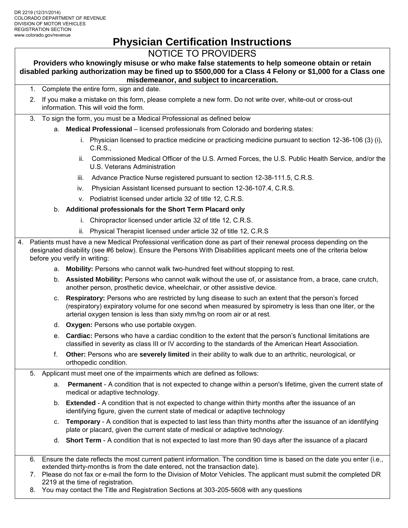# **Physician Certification Instructions**

## NOTICE TO PROVIDERS

**Providers who knowingly misuse or who make false statements to help someone obtain or retain disabled parking authorization may be fined up to \$500,000 for a Class 4 Felony or \$1,000 for a Class one misdemeanor, and subject to incarceration.**

- 1. Complete the entire form, sign and date.
- 2. If you make a mistake on this form, please complete a new form. Do not write over, white-out or cross-out information. This will void the form.
- 3. To sign the form, you must be a Medical Professional as defined below
	- a. **Medical Professional**  licensed professionals from Colorado and bordering states:
		- i. Physician licensed to practice medicine or practicing medicine pursuant to section 12-36-106 (3) (i), C.R.S.,
		- ii. Commissioned Medical Officer of the U.S. Armed Forces, the U.S. Public Health Service, and/or the U.S. Veterans Administration
		- iii. Advance Practice Nurse registered pursuant to section 12-38-111.5, C.R.S.
		- iv. Physician Assistant licensed pursuant to section 12-36-107.4, C.R.S.
		- v. Podiatrist licensed under article 32 of title 12, C.R.S.
	- b. **Additional professionals for the Short Term Placard only**
		- i. Chiropractor licensed under article 32 of title 12, C.R.S.
		- ii. Physical Therapist licensed under article 32 of title 12, C.R.S
- 4. Patients must have a new Medical Professional verification done as part of their renewal process depending on the designated disability (see #6 below). Ensure the Persons With Disabilities applicant meets one of the criteria below before you verify in writing:
	- a. **Mobility:** Persons who cannot walk two-hundred feet without stopping to rest.
	- b. **Assisted Mobility:** Persons who cannot walk without the use of, or assistance from, a brace, cane crutch, another person, prosthetic device, wheelchair, or other assistive device.
	- c. **Respiratory:** Persons who are restricted by lung disease to such an extent that the person's forced (respiratory) expiratory volume for one second when measured by spirometry is less than one liter, or the arterial oxygen tension is less than sixty mm/hg on room air or at rest.
	- d. **Oxygen:** Persons who use portable oxygen.
	- e. **Cardiac:** Persons who have a cardiac condition to the extent that the person's functional limitations are classified in severity as class III or IV according to the standards of the American Heart Association.
	- f. **Other:** Persons who are **severely limited** in their ability to walk due to an arthritic, neurological, or orthopedic condition.
	- 5. Applicant must meet one of the impairments which are defined as follows:
		- a. **Permanent** A condition that is not expected to change within a person's lifetime, given the current state of medical or adaptive technology.
		- b. **Extended** A condition that is not expected to change within thirty months after the issuance of an identifying figure, given the current state of medical or adaptive technology
		- c. **Temporary** A condition that is expected to last less than thirty months after the issuance of an identifying plate or placard, given the current state of medical or adaptive technology.
		- d. **Short Term** A condition that is not expected to last more than 90 days after the issuance of a placard
	- 6. Ensure the date reflects the most current patient information. The condition time is based on the date you enter (i.e., extended thirty-months is from the date entered, not the transaction date).
	- 7. Please do not fax or e-mail the form to the Division of Motor Vehicles. The applicant must submit the completed DR 2219 at the time of registration.
	- 8. You may contact the Title and Registration Sections at 303-205-5608 with any questions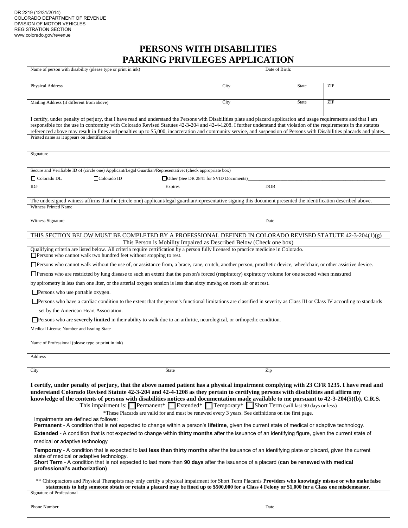## **PERSONS WITH DISABILITIES PARKING PRIVILEGES APPLICATION**

| Name of person with disability (please type or print in ink)                                                                                                                                                                                                                                                                                                                                                                                                                                                                                                                                                                    |                                                                     |      | Date of Birth: |       |     |  |  |
|---------------------------------------------------------------------------------------------------------------------------------------------------------------------------------------------------------------------------------------------------------------------------------------------------------------------------------------------------------------------------------------------------------------------------------------------------------------------------------------------------------------------------------------------------------------------------------------------------------------------------------|---------------------------------------------------------------------|------|----------------|-------|-----|--|--|
|                                                                                                                                                                                                                                                                                                                                                                                                                                                                                                                                                                                                                                 |                                                                     |      |                |       |     |  |  |
| <b>Physical Address</b>                                                                                                                                                                                                                                                                                                                                                                                                                                                                                                                                                                                                         |                                                                     | City |                | State | ZIP |  |  |
| Mailing Address (if different from above)                                                                                                                                                                                                                                                                                                                                                                                                                                                                                                                                                                                       |                                                                     | City |                | State | ZIP |  |  |
| I certify, under penalty of perjury, that I have read and understand the Persons with Disabilities plate and placard application and usage requirements and that I am<br>responsible for the use in conformity with Colorado Revised Statutes 42-3-204 and 42-4-1208. I further understand that violation of the requirements in the statutes<br>referenced above may result in fines and penalties up to \$5,000, incarceration and community service, and suspension of Persons with Disabilities placards and plates.<br>Printed name as it appears on identification                                                        |                                                                     |      |                |       |     |  |  |
| Signature                                                                                                                                                                                                                                                                                                                                                                                                                                                                                                                                                                                                                       |                                                                     |      |                |       |     |  |  |
| Secure and Verifiable ID of (circle one) Applicant/Legal Guardian/Representative: (check appropriate box)                                                                                                                                                                                                                                                                                                                                                                                                                                                                                                                       |                                                                     |      |                |       |     |  |  |
| Colorado DL<br>$\Box$ Colorado ID                                                                                                                                                                                                                                                                                                                                                                                                                                                                                                                                                                                               | □ Other (See DR 2841 for SVID Documents)                            |      |                |       |     |  |  |
| ID#                                                                                                                                                                                                                                                                                                                                                                                                                                                                                                                                                                                                                             | Expires                                                             |      | <b>DOB</b>     |       |     |  |  |
| The undersigned witness affirms that the (circle one) applicant/legal guardian/representative signing this document presented the identification described above.<br><b>Witness Printed Name</b>                                                                                                                                                                                                                                                                                                                                                                                                                                |                                                                     |      |                |       |     |  |  |
|                                                                                                                                                                                                                                                                                                                                                                                                                                                                                                                                                                                                                                 |                                                                     |      |                |       |     |  |  |
| Witness Signature                                                                                                                                                                                                                                                                                                                                                                                                                                                                                                                                                                                                               |                                                                     |      | Date           |       |     |  |  |
| THIS SECTION BELOW MUST BE COMPLETED BY A PROFESSIONAL DEFINED IN COLORADO REVISED STATUTE 42-3-204(1)(g)                                                                                                                                                                                                                                                                                                                                                                                                                                                                                                                       |                                                                     |      |                |       |     |  |  |
|                                                                                                                                                                                                                                                                                                                                                                                                                                                                                                                                                                                                                                 | This Person is Mobility Impaired as Described Below (Check one box) |      |                |       |     |  |  |
| Qualifying criteria are listed below. All criteria require certification by a person fully licensed to practice medicine in Colorado.<br>$\Box$ Persons who cannot walk two hundred feet without stopping to rest.                                                                                                                                                                                                                                                                                                                                                                                                              |                                                                     |      |                |       |     |  |  |
| □Persons who cannot walk without the use of, or assistance from, a brace, cane, crutch, another person, prosthetic device, wheelchair, or other assistive device.                                                                                                                                                                                                                                                                                                                                                                                                                                                               |                                                                     |      |                |       |     |  |  |
| <b>Solution</b> Persons who are restricted by lung disease to such an extent that the person's forced (respiratory) expiratory volume for one second when measured                                                                                                                                                                                                                                                                                                                                                                                                                                                              |                                                                     |      |                |       |     |  |  |
| by spirometry is less than one liter, or the arterial oxygen tension is less than sixty mm/hg on room air or at rest.                                                                                                                                                                                                                                                                                                                                                                                                                                                                                                           |                                                                     |      |                |       |     |  |  |
| $\Box$ Persons who use portable oxygen.                                                                                                                                                                                                                                                                                                                                                                                                                                                                                                                                                                                         |                                                                     |      |                |       |     |  |  |
|                                                                                                                                                                                                                                                                                                                                                                                                                                                                                                                                                                                                                                 |                                                                     |      |                |       |     |  |  |
| <b>Solution</b> Persons who have a cardiac condition to the extent that the person's functional limitations are classified in severity as Class III or Class IV according to standards<br>set by the American Heart Association.                                                                                                                                                                                                                                                                                                                                                                                                |                                                                     |      |                |       |     |  |  |
| <b>Solution</b> Persons who are <b>severely limited</b> in their ability to walk due to an arthritic, neurological, or orthopedic condition.                                                                                                                                                                                                                                                                                                                                                                                                                                                                                    |                                                                     |      |                |       |     |  |  |
| Medical License Number and Issuing State                                                                                                                                                                                                                                                                                                                                                                                                                                                                                                                                                                                        |                                                                     |      |                |       |     |  |  |
| Name of Professional (please type or print in ink)                                                                                                                                                                                                                                                                                                                                                                                                                                                                                                                                                                              |                                                                     |      |                |       |     |  |  |
| Address                                                                                                                                                                                                                                                                                                                                                                                                                                                                                                                                                                                                                         |                                                                     |      |                |       |     |  |  |
| City                                                                                                                                                                                                                                                                                                                                                                                                                                                                                                                                                                                                                            | State                                                               |      | Zip            |       |     |  |  |
|                                                                                                                                                                                                                                                                                                                                                                                                                                                                                                                                                                                                                                 |                                                                     |      |                |       |     |  |  |
| I certify, under penalty of perjury, that the above named patient has a physical impairment complying with 23 CFR 1235. I have read and<br>understand Colorado Revised Statute 42-3-204 and 42-4-1208 as they pertain to certifying persons with disabilities and affirm my<br>knowledge of the contents of persons with disabilities notices and documentation made available to me pursuant to $42-3-204(5)(b)$ , C.R.S.<br>This impairment is: Permanent* Extended* Temporary* Short Term (will last 90 days or less)<br>*These Placards are valid for and must be renewed every 3 years. See definitions on the first page. |                                                                     |      |                |       |     |  |  |
| Impairments are defined as follows:<br>Permanent - A condition that is not expected to change within a person's lifetime, given the current state of medical or adaptive technology.                                                                                                                                                                                                                                                                                                                                                                                                                                            |                                                                     |      |                |       |     |  |  |
| <b>Extended</b> - A condition that is not expected to change within thirty months after the issuance of an identifying figure, given the current state of                                                                                                                                                                                                                                                                                                                                                                                                                                                                       |                                                                     |      |                |       |     |  |  |
| medical or adaptive technology                                                                                                                                                                                                                                                                                                                                                                                                                                                                                                                                                                                                  |                                                                     |      |                |       |     |  |  |
| Temporary - A condition that is expected to last less than thirty months after the issuance of an identifying plate or placard, given the current<br>state of medical or adaptive technology.<br>Short Term - A condition that is not expected to last more than 90 days after the issuance of a placard (can be renewed with medical<br>professional's authorization)                                                                                                                                                                                                                                                          |                                                                     |      |                |       |     |  |  |
| ** Chiropractors and Physical Therapists may only certify a physical impairment for Short Term Placards Providers who knowingly misuse or who make false<br>statements to help someone obtain or retain a placard may be fined up to \$500,000 for a Class 4 Felony or \$1,000 for a Class one misdemeanor.<br>Signature of Professional                                                                                                                                                                                                                                                                                        |                                                                     |      |                |       |     |  |  |
|                                                                                                                                                                                                                                                                                                                                                                                                                                                                                                                                                                                                                                 |                                                                     |      |                |       |     |  |  |
| Phone Number                                                                                                                                                                                                                                                                                                                                                                                                                                                                                                                                                                                                                    |                                                                     |      | Date           |       |     |  |  |